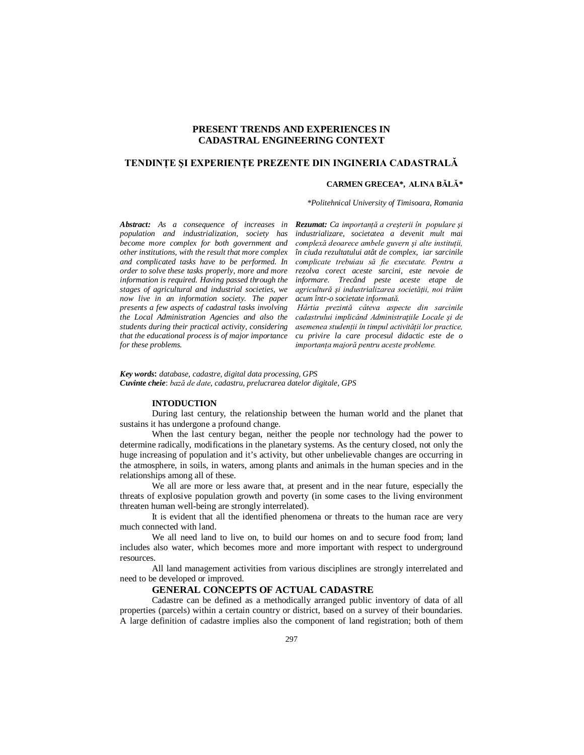# **PRESENT TRENDS AND EXPERIENCES IN CADASTRAL ENGINEERING CONTEXT**

## **TENDINŢE ŞI EXPERIENŢE PREZENTE DIN INGINERIA CADASTRALĂ**

#### **CARMEN GRECEA\*, ALINA BĂLĂ\***

*\*Politehnical University of Timisoara, Romania*

*Abstract: As a consequence of increases in population and industrialization, society has become more complex for both government and other institutions, with the result that more complex and complicated tasks have to be performed. In order to solve these tasks properly, more and more information is required. Having passed through the stages of agricultural and industrial societies, we now live in an information society. The paper presents a few aspects of cadastral tasks involving the Local Administration Agencies and also the students during their practical activity, considering that the educational process is of major importance for these problems.*

*Rezumat: Ca importanţă a creşterii în populare şi industrializare, societatea a devenit mult mai complexă deoarece ambele guvern şi alte instituţii, în ciuda rezultatului atât de complex, iar sarcinile complicate trebuiau să fie executate. Pentru a rezolva corect aceste sarcini, este nevoie de informare. Trecând peste aceste etape de agricultură şi industrializarea societăţii, noi trăim acum într-o societate informată.*

 *Hârtia prezintă câteva aspecte din sarcinile cadastrului implicând Administraţiile Locale şi de asemenea studenţii în timpul activităţii lor practice, cu privire la care procesul didactic este de o importanţa majoră pentru aceste probleme.*

*Key words***:** *database, cadastre, digital data processing, GPS Cuvinte cheie*: *bază de date, cadastru, prelucrarea datelor digitale, GPS*

### **INTODUCTION**

During last century, the relationship between the human world and the planet that sustains it has undergone a profound change.

When the last century began, neither the people nor technology had the power to determine radically, modifications in the planetary systems. As the century closed, not only the huge increasing of population and it's activity, but other unbelievable changes are occurring in the atmosphere, in soils, in waters, among plants and animals in the human species and in the relationships among all of these.

We all are more or less aware that, at present and in the near future, especially the threats of explosive population growth and poverty (in some cases to the living environment threaten human well-being are strongly interrelated).

It is evident that all the identified phenomena or threats to the human race are very much connected with land.

We all need land to live on, to build our homes on and to secure food from; land includes also water, which becomes more and more important with respect to underground resources.

All land management activities from various disciplines are strongly interrelated and need to be developed or improved.

### **GENERAL CONCEPTS OF ACTUAL CADASTRE**

Cadastre can be defined as a methodically arranged public inventory of data of all properties (parcels) within a certain country or district, based on a survey of their boundaries. A large definition of cadastre implies also the component of land registration; both of them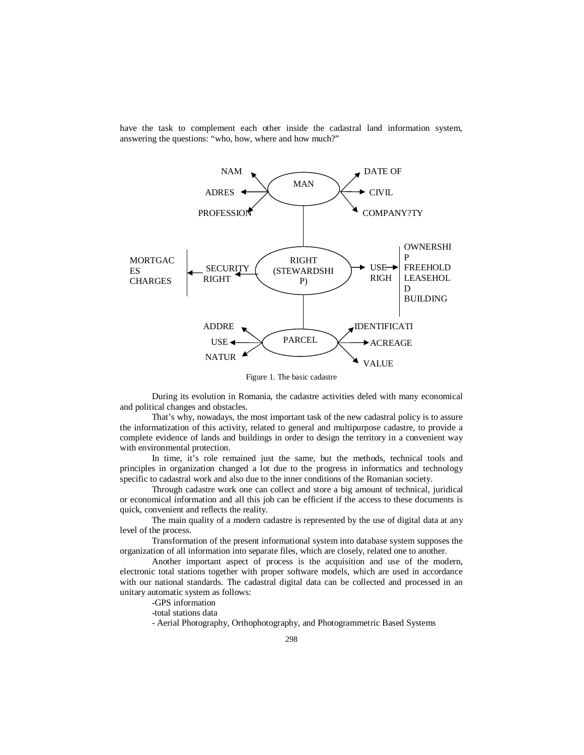have the task to complement each other inside the cadastral land information system, answering the questions: "who, how, where and how much?"



Figure 1. The basic cadastre

During its evolution in Romania, the cadastre activities deled with many economical and political changes and obstacles.

That's why, nowadays, the most important task of the new cadastral policy is to assure the informatization of this activity, related to general and multipurpose cadastre, to provide a complete evidence of lands and buildings in order to design the territory in a convenient way with environmental protection.

In time, it's role remained just the same, but the methods, technical tools and principles in organization changed a lot due to the progress in informatics and technology specific to cadastral work and also due to the inner conditions of the Romanian society.

Through cadastre work one can collect and store a big amount of technical, juridical or economical information and all this job can be efficient if the access to these documents is quick, convenient and reflects the reality.

The main quality of a modern cadastre is represented by the use of digital data at any level of the process.

Transformation of the present informational system into database system supposes the organization of all information into separate files, which are closely, related one to another.

Another important aspect of process is the acquisition and use of the modern, electronic total stations together with proper software models, which are used in accordance with our national standards. The cadastral digital data can be collected and processed in an unitary automatic system as follows:

-GPS information

-total stations data

- Aerial Photography, Orthophotography, and Photogrammetric Based Systems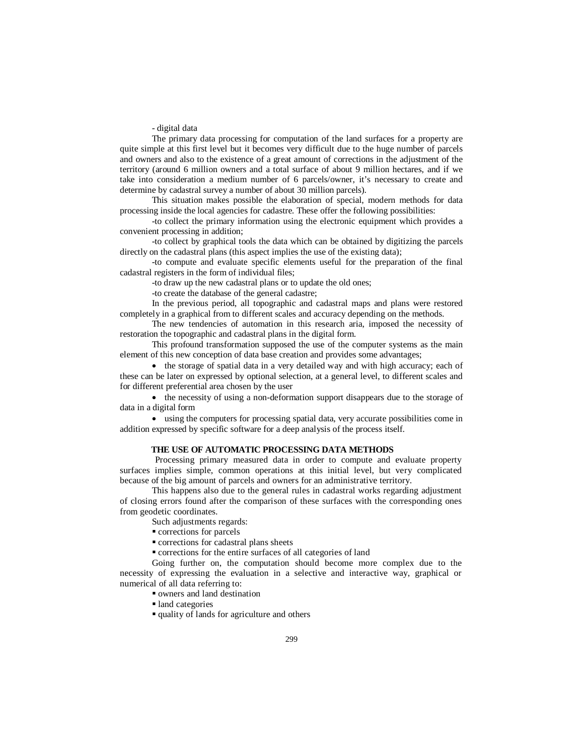- digital data

The primary data processing for computation of the land surfaces for a property are quite simple at this first level but it becomes very difficult due to the huge number of parcels and owners and also to the existence of a great amount of corrections in the adjustment of the territory (around 6 million owners and a total surface of about 9 million hectares, and if we take into consideration a medium number of 6 parcels/owner, it's necessary to create and determine by cadastral survey a number of about 30 million parcels).

This situation makes possible the elaboration of special, modern methods for data processing inside the local agencies for cadastre. These offer the following possibilities:

-to collect the primary information using the electronic equipment which provides a convenient processing in addition;

-to collect by graphical tools the data which can be obtained by digitizing the parcels directly on the cadastral plans (this aspect implies the use of the existing data);

-to compute and evaluate specific elements useful for the preparation of the final cadastral registers in the form of individual files;

-to draw up the new cadastral plans or to update the old ones;

-to create the database of the general cadastre;

In the previous period, all topographic and cadastral maps and plans were restored completely in a graphical from to different scales and accuracy depending on the methods.

The new tendencies of automation in this research aria, imposed the necessity of restoration the topographic and cadastral plans in the digital form.

This profound transformation supposed the use of the computer systems as the main element of this new conception of data base creation and provides some advantages;

• the storage of spatial data in a very detailed way and with high accuracy; each of these can be later on expressed by optional selection, at a general level, to different scales and for different preferential area chosen by the user

• the necessity of using a non-deformation support disappears due to the storage of data in a digital form

 using the computers for processing spatial data, very accurate possibilities come in addition expressed by specific software for a deep analysis of the process itself.

#### **THE USE OF AUTOMATIC PROCESSING DATA METHODS**

Processing primary measured data in order to compute and evaluate property surfaces implies simple, common operations at this initial level, but very complicated because of the big amount of parcels and owners for an administrative territory.

This happens also due to the general rules in cadastral works regarding adjustment of closing errors found after the comparison of these surfaces with the corresponding ones from geodetic coordinates.

Such adjustments regards:

corrections for parcels

corrections for cadastral plans sheets

corrections for the entire surfaces of all categories of land

Going further on, the computation should become more complex due to the necessity of expressing the evaluation in a selective and interactive way, graphical or numerical of all data referring to:

owners and land destination

land categories

quality of lands for agriculture and others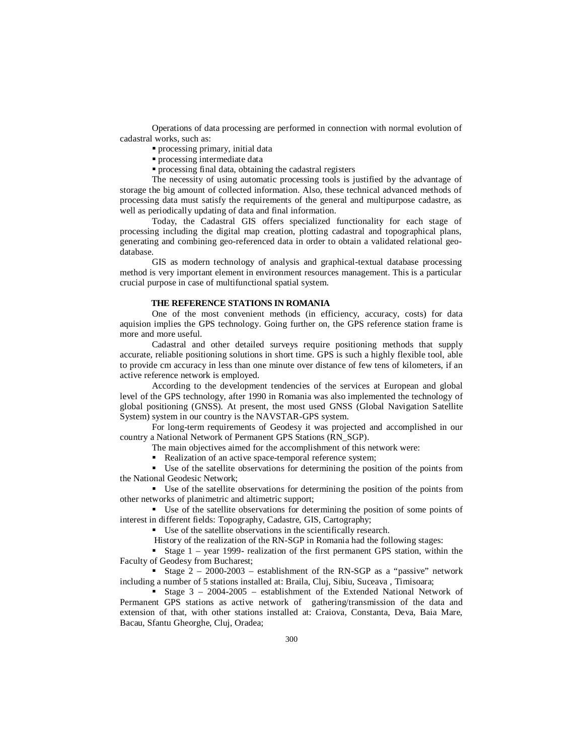Operations of data processing are performed in connection with normal evolution of cadastral works, such as:

- processing primary, initial data
- **Processing intermediate data**
- **Processing final data, obtaining the cadastral registers**

The necessity of using automatic processing tools is justified by the advantage of storage the big amount of collected information. Also, these technical advanced methods of processing data must satisfy the requirements of the general and multipurpose cadastre, as well as periodically updating of data and final information.

Today, the Cadastral GIS offers specialized functionality for each stage of processing including the digital map creation, plotting cadastral and topographical plans, generating and combining geo-referenced data in order to obtain a validated relational geodatabase.

GIS as modern technology of analysis and graphical-textual database processing method is very important element in environment resources management. This is a particular crucial purpose in case of multifunctional spatial system.

#### **THE REFERENCE STATIONS IN ROMANIA**

One of the most convenient methods (in efficiency, accuracy, costs) for data aquision implies the GPS technology. Going further on, the GPS reference station frame is more and more useful.

Cadastral and other detailed surveys require positioning methods that supply accurate, reliable positioning solutions in short time. GPS is such a highly flexible tool, able to provide cm accuracy in less than one minute over distance of few tens of kilometers, if an active reference network is employed.

According to the development tendencies of the services at European and global level of the GPS technology, after 1990 in Romania was also implemented the technology of global positioning (GNSS). At present, the most used GNSS (Global Navigation Satellite System) system in our country is the NAVSTAR-GPS system.

For long-term requirements of Geodesy it was projected and accomplished in our country a National Network of Permanent GPS Stations (RN\_SGP).

The main objectives aimed for the accomplishment of this network were:

Realization of an active space-temporal reference system;

 Use of the satellite observations for determining the position of the points from the National Geodesic Network;

 Use of the satellite observations for determining the position of the points from other networks of planimetric and altimetric support;

 Use of the satellite observations for determining the position of some points of interest in different fields: Topography, Cadastre, GIS, Cartography;

Use of the satellite observations in the scientifically research.

History of the realization of the RN-SGP in Romania had the following stages:

Stage  $1$  – year 1999- realization of the first permanent GPS station, within the Faculty of Geodesy from Bucharest;

Stage  $2 - 2000-2003$  – establishment of the RN-SGP as a "passive" network including a number of 5 stations installed at: Braila, Cluj, Sibiu, Suceava , Timisoara;

Stage  $3 - 2004 - 2005$  – establishment of the Extended National Network of Permanent GPS stations as active network of gathering/transmission of the data and extension of that, with other stations installed at: Craiova, Constanta, Deva, Baia Mare, Bacau, Sfantu Gheorghe, Cluj, Oradea;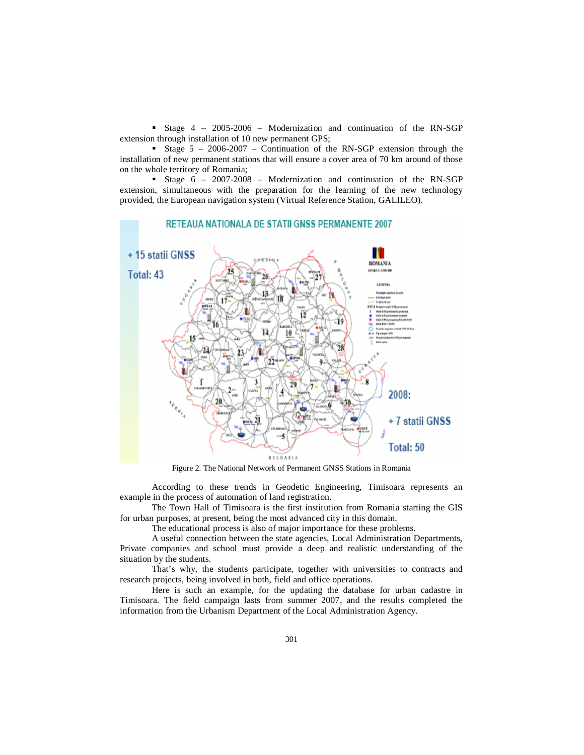Stage 4 – 2005-2006 – Modernization and continuation of the RN-SGP extension through installation of 10 new permanent GPS;

Stage  $5 - 2006 - 2007$  – Continuation of the RN-SGP extension through the installation of new permanent stations that will ensure a cover area of 70 km around of those on the whole territory of Romania;

Stage  $6 - 2007 - 2008$  – Modernization and continuation of the RN-SGP extension, simultaneous with the preparation for the learning of the new technology provided, the European navigation system (Virtual Reference Station, GALILEO).



Figure 2. The National Network of Permanent GNSS Stations in Romania

According to these trends in Geodetic Engineering, Timisoara represents an example in the process of automation of land registration.

The Town Hall of Timisoara is the first institution from Romania starting the GIS for urban purposes, at present, being the most advanced city in this domain.

The educational process is also of major importance for these problems.

A useful connection between the state agencies, Local Administration Departments, Private companies and school must provide a deep and realistic understanding of the situation by the students.

That's why, the students participate, together with universities to contracts and research projects, being involved in both, field and office operations.

Here is such an example, for the updating the database for urban cadastre in Timisoara. The field campaign lasts from summer 2007, and the results completed the information from the Urbanism Department of the Local Administration Agency.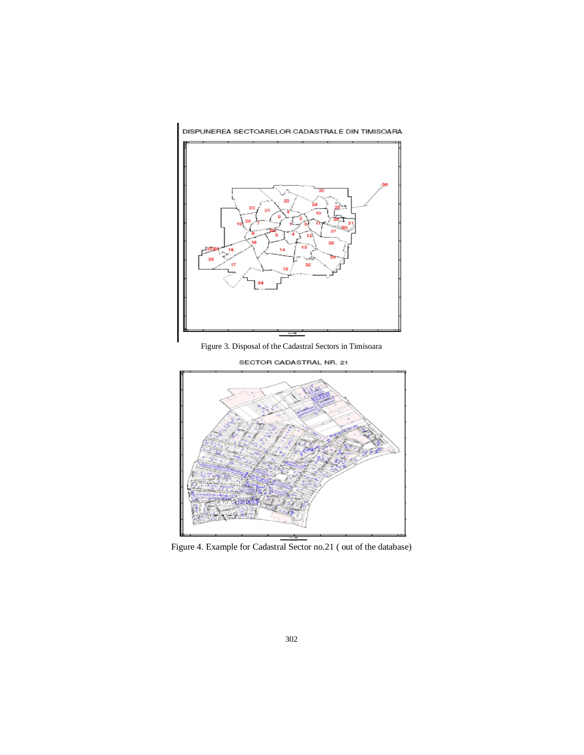

DISPUNEREA SECTOARELOR CADASTRALE DIN TIMISOARA

Figure 3. Disposal of the Cadastral Sectors in Timisoara



SECTOR CADASTRAL NR. 21

Figure 4. Example for Cadastral Sector no.21 ( out of the database)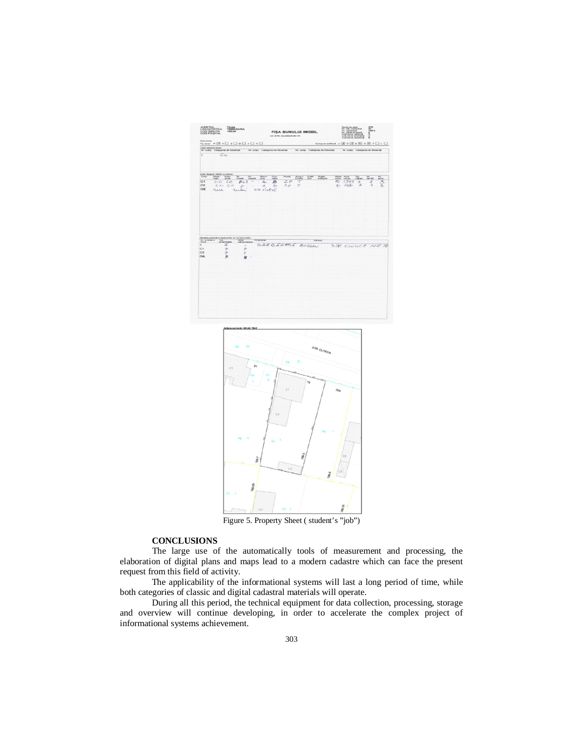



Figure 5. Property Sheet ( student's "job")

# **CONCLUSIONS**

The large use of the automatically tools of measurement and processing, the elaboration of digital plans and maps lead to a modern cadastre which can face the present request from this field of activity.

The applicability of the informational systems will last a long period of time, while both categories of classic and digital cadastral materials will operate.

During all this period, the technical equipment for data collection, processing, storage and overview will continue developing, in order to accelerate the complex project of informational systems achievement.